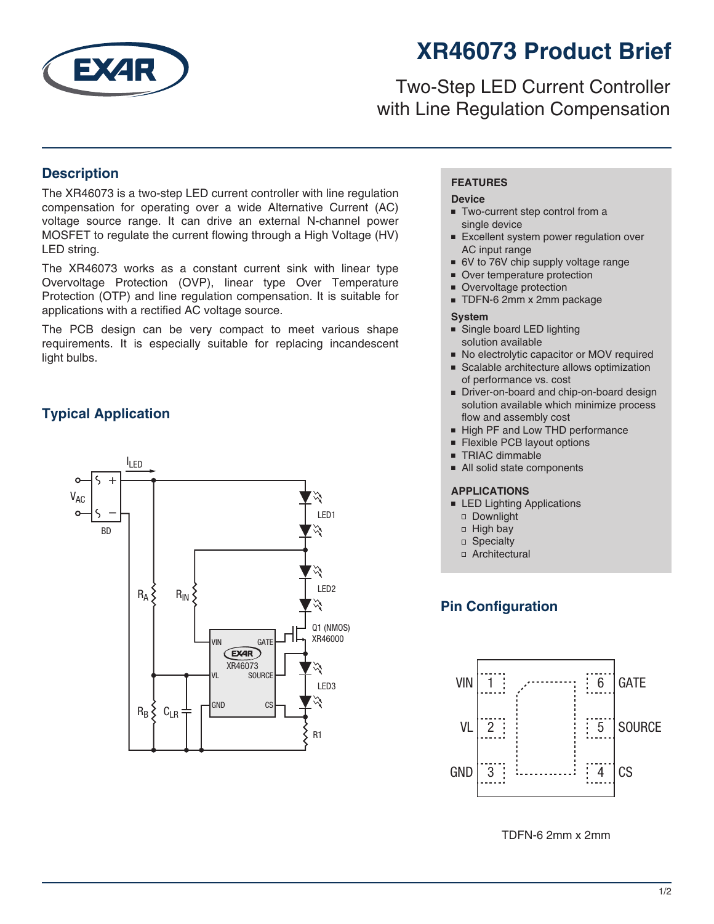

# **XR46073 Product Brief**

## Two-Step LED Current Controller with Line Regulation Compensation

### **Description**

The XR46073 is a two-step LED current controller with line regulation compensation for operating over a wide Alternative Current (AC) voltage source range. It can drive an external N-channel power MOSFET to regulate the current flowing through a High Voltage (HV) LED string.

The XR46073 works as a constant current sink with linear type Overvoltage Protection (OVP), linear type Over Temperature Protection (OTP) and line regulation compensation. It is suitable for applications with a rectified AC voltage source.

The PCB design can be very compact to meet various shape requirements. It is especially suitable for replacing incandescent light bulbs.

## **Typical Application**



#### **FEATURES**

#### **Device**

- Two-current step control from a single device
- Excellent system power regulation over AC input range
- 6V to 76V chip supply voltage range
- Over temperature protection
- Overvoltage protection
- TDFN-6 2mm x 2mm package

#### **System**

- Single board LED lighting solution available
- No electrolytic capacitor or MOV required
- Scalable architecture allows optimization of performance vs. cost
- Driver-on-board and chip-on-board design solution available which minimize process flow and assembly cost
- High PF and Low THD performance
- Flexible PCB layout options
- TRIAC dimmable
- All solid state components

#### **APPLICATIONS**

- LED Lighting Applications
	- Downlight
- High bay
- □ Specialty
- Architectural

## **Pin Configuration**



TDFN-6 2mm x 2mm